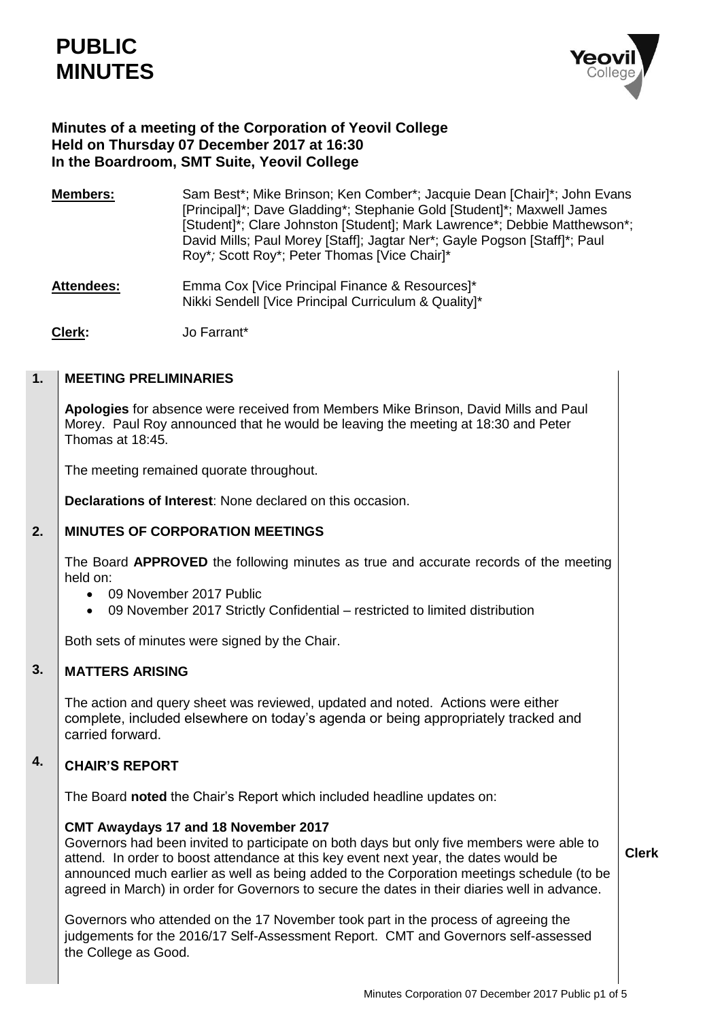

# **Minutes of a meeting of the Corporation of Yeovil College Held on Thursday 07 December 2017 at 16:30 In the Boardroom, SMT Suite, Yeovil College**

**Members:** Sam Best\*; Mike Brinson; Ken Comber\*; Jacquie Dean [Chair]\*; John Evans [Principal]\*; Dave Gladding\*; Stephanie Gold [Student]\*; Maxwell James [Student]\*; Clare Johnston [Student]; Mark Lawrence\*; Debbie Matthewson\*; David Mills; Paul Morey [Staff]; Jagtar Ner\*; Gayle Pogson [Staff]\*; Paul Roy\**;* Scott Roy\*; Peter Thomas [Vice Chair]\*

- Attendees: Emma Cox [Vice Principal Finance & Resources]\* Nikki Sendell [Vice Principal Curriculum & Quality]\*
- **Clerk:** Jo Farrant\*

#### **1. MEETING PRELIMINARIES**

**Apologies** for absence were received from Members Mike Brinson, David Mills and Paul Morey. Paul Roy announced that he would be leaving the meeting at 18:30 and Peter Thomas at 18:45.

The meeting remained quorate throughout.

**Declarations of Interest**: None declared on this occasion.

#### **2. MINUTES OF CORPORATION MEETINGS**

The Board **APPROVED** the following minutes as true and accurate records of the meeting held on:

- 09 November 2017 Public
- 09 November 2017 Strictly Confidential restricted to limited distribution

Both sets of minutes were signed by the Chair.

#### **3. MATTERS ARISING**

The action and query sheet was reviewed, updated and noted. Actions were either complete, included elsewhere on today's agenda or being appropriately tracked and carried forward.

### **4. CHAIR'S REPORT**

The Board **noted** the Chair's Report which included headline updates on:

## **CMT Awaydays 17 and 18 November 2017**

Governors had been invited to participate on both days but only five members were able to attend. In order to boost attendance at this key event next year, the dates would be announced much earlier as well as being added to the Corporation meetings schedule (to be agreed in March) in order for Governors to secure the dates in their diaries well in advance.

Governors who attended on the 17 November took part in the process of agreeing the judgements for the 2016/17 Self-Assessment Report. CMT and Governors self-assessed the College as Good.

**Clerk**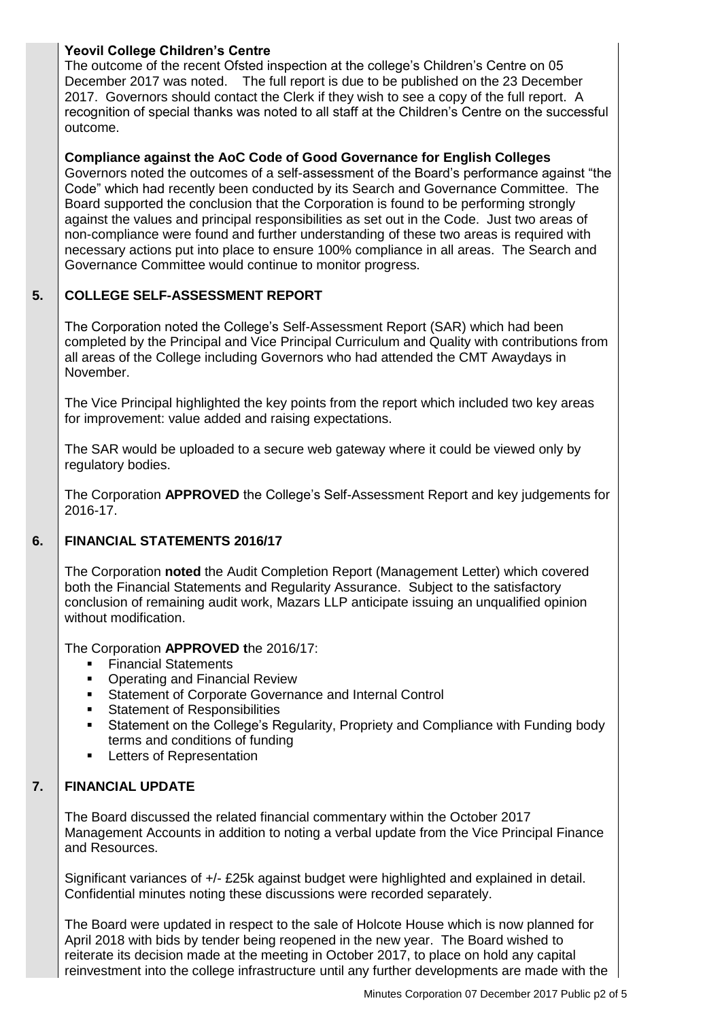# **Yeovil College Children's Centre**

The outcome of the recent Ofsted inspection at the college's Children's Centre on 05 December 2017 was noted. The full report is due to be published on the 23 December 2017. Governors should contact the Clerk if they wish to see a copy of the full report. A recognition of special thanks was noted to all staff at the Children's Centre on the successful outcome.

# **Compliance against the AoC Code of Good Governance for English Colleges**

Governors noted the outcomes of a self-assessment of the Board's performance against "the Code" which had recently been conducted by its Search and Governance Committee. The Board supported the conclusion that the Corporation is found to be performing strongly against the values and principal responsibilities as set out in the Code. Just two areas of non-compliance were found and further understanding of these two areas is required with necessary actions put into place to ensure 100% compliance in all areas. The Search and Governance Committee would continue to monitor progress.

#### **5. COLLEGE SELF-ASSESSMENT REPORT**

The Corporation noted the College's Self-Assessment Report (SAR) which had been completed by the Principal and Vice Principal Curriculum and Quality with contributions from all areas of the College including Governors who had attended the CMT Awaydays in November.

The Vice Principal highlighted the key points from the report which included two key areas for improvement: value added and raising expectations.

The SAR would be uploaded to a secure web gateway where it could be viewed only by regulatory bodies.

The Corporation **APPROVED** the College's Self-Assessment Report and key judgements for 2016-17.

#### **6. FINANCIAL STATEMENTS 2016/17**

The Corporation **noted** the Audit Completion Report (Management Letter) which covered both the Financial Statements and Regularity Assurance. Subject to the satisfactory conclusion of remaining audit work, Mazars LLP anticipate issuing an unqualified opinion without modification.

The Corporation **APPROVED t**he 2016/17:

- **Financial Statements**
- Operating and Financial Review
- **Statement of Corporate Governance and Internal Control**
- **Statement of Responsibilities**
- Statement on the College's Regularity, Propriety and Compliance with Funding body terms and conditions of funding
- **Letters of Representation**

#### **7. FINANCIAL UPDATE**

The Board discussed the related financial commentary within the October 2017 Management Accounts in addition to noting a verbal update from the Vice Principal Finance and Resources.

Significant variances of +/- £25k against budget were highlighted and explained in detail. Confidential minutes noting these discussions were recorded separately.

The Board were updated in respect to the sale of Holcote House which is now planned for April 2018 with bids by tender being reopened in the new year. The Board wished to reiterate its decision made at the meeting in October 2017, to place on hold any capital reinvestment into the college infrastructure until any further developments are made with the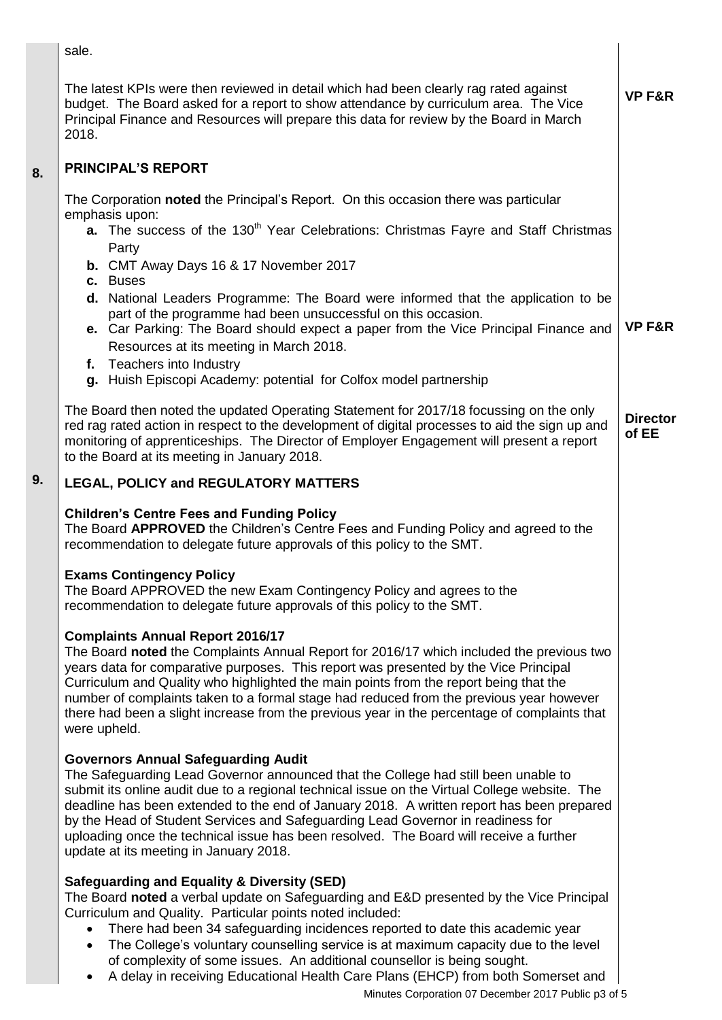sale.

**8.**

**9.**

| The latest KPIs were then reviewed in detail which had been clearly rag rated against<br>budget. The Board asked for a report to show attendance by curriculum area. The Vice<br>Principal Finance and Resources will prepare this data for review by the Board in March<br>2018.                                                                                                                                                                                                                                                                                                                                                                                       | <b>VP F&amp;R</b>        |
|-------------------------------------------------------------------------------------------------------------------------------------------------------------------------------------------------------------------------------------------------------------------------------------------------------------------------------------------------------------------------------------------------------------------------------------------------------------------------------------------------------------------------------------------------------------------------------------------------------------------------------------------------------------------------|--------------------------|
| <b>PRINCIPAL'S REPORT</b>                                                                                                                                                                                                                                                                                                                                                                                                                                                                                                                                                                                                                                               |                          |
| The Corporation noted the Principal's Report. On this occasion there was particular<br>emphasis upon:<br>a. The success of the 130 <sup>th</sup> Year Celebrations: Christmas Fayre and Staff Christmas<br>Party<br><b>b.</b> CMT Away Days 16 & 17 November 2017<br>c. Buses<br>d. National Leaders Programme: The Board were informed that the application to be<br>part of the programme had been unsuccessful on this occasion.<br>e. Car Parking: The Board should expect a paper from the Vice Principal Finance and<br>Resources at its meeting in March 2018.<br>f. Teachers into Industry<br>g. Huish Episcopi Academy: potential for Colfox model partnership | VP F&R                   |
| The Board then noted the updated Operating Statement for 2017/18 focussing on the only<br>red rag rated action in respect to the development of digital processes to aid the sign up and<br>monitoring of apprenticeships. The Director of Employer Engagement will present a report<br>to the Board at its meeting in January 2018.                                                                                                                                                                                                                                                                                                                                    | <b>Director</b><br>of EE |
| <b>LEGAL, POLICY and REGULATORY MATTERS</b>                                                                                                                                                                                                                                                                                                                                                                                                                                                                                                                                                                                                                             |                          |
| <b>Children's Centre Fees and Funding Policy</b><br>The Board APPROVED the Children's Centre Fees and Funding Policy and agreed to the<br>recommendation to delegate future approvals of this policy to the SMT.                                                                                                                                                                                                                                                                                                                                                                                                                                                        |                          |
| <b>Exams Contingency Policy</b><br>The Board APPROVED the new Exam Contingency Policy and agrees to the<br>recommendation to delegate future approvals of this policy to the SMT.                                                                                                                                                                                                                                                                                                                                                                                                                                                                                       |                          |
| <b>Complaints Annual Report 2016/17</b><br>The Board noted the Complaints Annual Report for 2016/17 which included the previous two<br>years data for comparative purposes. This report was presented by the Vice Principal<br>Curriculum and Quality who highlighted the main points from the report being that the<br>number of complaints taken to a formal stage had reduced from the previous year however<br>there had been a slight increase from the previous year in the percentage of complaints that<br>were upheld.                                                                                                                                         |                          |
| <b>Governors Annual Safeguarding Audit</b><br>The Safeguarding Lead Governor announced that the College had still been unable to<br>submit its online audit due to a regional technical issue on the Virtual College website. The<br>deadline has been extended to the end of January 2018. A written report has been prepared<br>by the Head of Student Services and Safeguarding Lead Governor in readiness for<br>uploading once the technical issue has been resolved. The Board will receive a further<br>update at its meeting in January 2018.                                                                                                                   |                          |
| Safeguarding and Equality & Diversity (SED)<br>The Board noted a verbal update on Safeguarding and E&D presented by the Vice Principal<br>Curriculum and Quality. Particular points noted included:<br>There had been 34 safeguarding incidences reported to date this academic year<br>The College's voluntary counselling service is at maximum capacity due to the level<br>of complexity of some issues. An additional counsellor is being sought.                                                                                                                                                                                                                  |                          |

Minutes Corporation 07 December 2017 Public p3 of 5 A delay in receiving Educational Health Care Plans (EHCP) from both Somerset and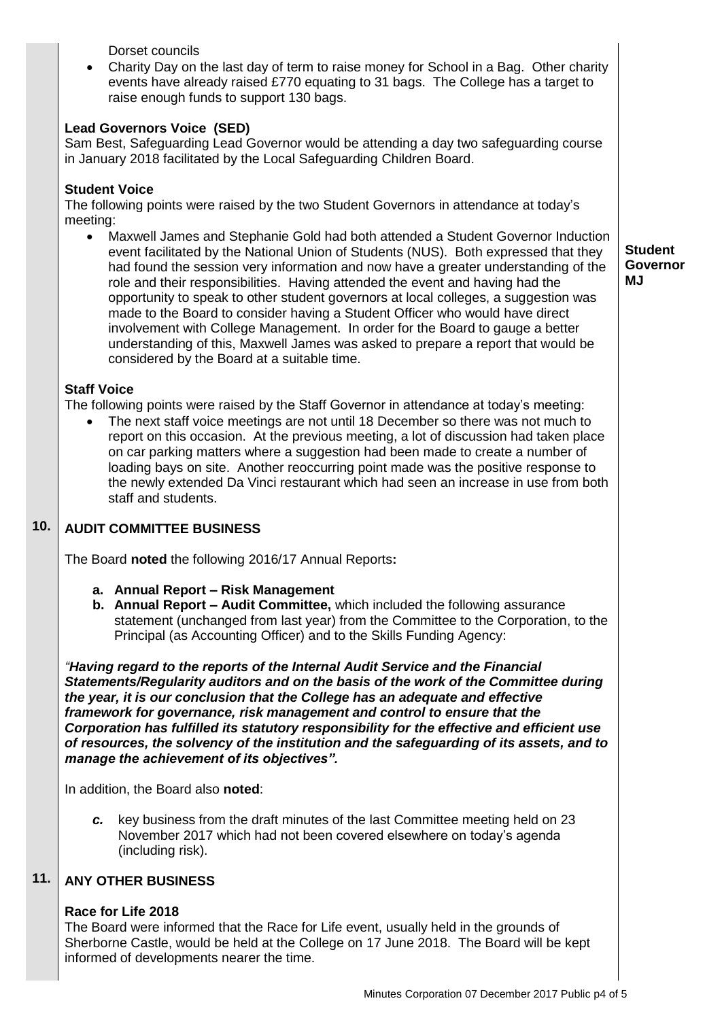Dorset councils

 Charity Day on the last day of term to raise money for School in a Bag. Other charity events have already raised £770 equating to 31 bags. The College has a target to raise enough funds to support 130 bags.

# **Lead Governors Voice (SED)**

Sam Best, Safeguarding Lead Governor would be attending a day two safeguarding course in January 2018 facilitated by the Local Safeguarding Children Board.

## **Student Voice**

The following points were raised by the two Student Governors in attendance at today's meeting:

 Maxwell James and Stephanie Gold had both attended a Student Governor Induction event facilitated by the National Union of Students (NUS). Both expressed that they had found the session very information and now have a greater understanding of the role and their responsibilities. Having attended the event and having had the opportunity to speak to other student governors at local colleges, a suggestion was made to the Board to consider having a Student Officer who would have direct involvement with College Management. In order for the Board to gauge a better understanding of this, Maxwell James was asked to prepare a report that would be considered by the Board at a suitable time.

**Student Governor MJ**

## **Staff Voice**

The following points were raised by the Staff Governor in attendance at today's meeting:

 The next staff voice meetings are not until 18 December so there was not much to report on this occasion. At the previous meeting, a lot of discussion had taken place on car parking matters where a suggestion had been made to create a number of loading bays on site. Another reoccurring point made was the positive response to the newly extended Da Vinci restaurant which had seen an increase in use from both staff and students.

### **10. AUDIT COMMITTEE BUSINESS**

The Board **noted** the following 2016/17 Annual Reports**:**

- **a. Annual Report – Risk Management**
- **b. Annual Report – Audit Committee,** which included the following assurance statement (unchanged from last year) from the Committee to the Corporation, to the Principal (as Accounting Officer) and to the Skills Funding Agency:

*"Having regard to the reports of the Internal Audit Service and the Financial Statements/Regularity auditors and on the basis of the work of the Committee during the year, it is our conclusion that the College has an adequate and effective framework for governance, risk management and control to ensure that the Corporation has fulfilled its statutory responsibility for the effective and efficient use of resources, the solvency of the institution and the safeguarding of its assets, and to manage the achievement of its objectives".*

In addition, the Board also **noted**:

*c.* key business from the draft minutes of the last Committee meeting held on 23 November 2017 which had not been covered elsewhere on today's agenda (including risk).

### **11. ANY OTHER BUSINESS**

## **Race for Life 2018**

The Board were informed that the Race for Life event, usually held in the grounds of Sherborne Castle, would be held at the College on 17 June 2018. The Board will be kept informed of developments nearer the time.